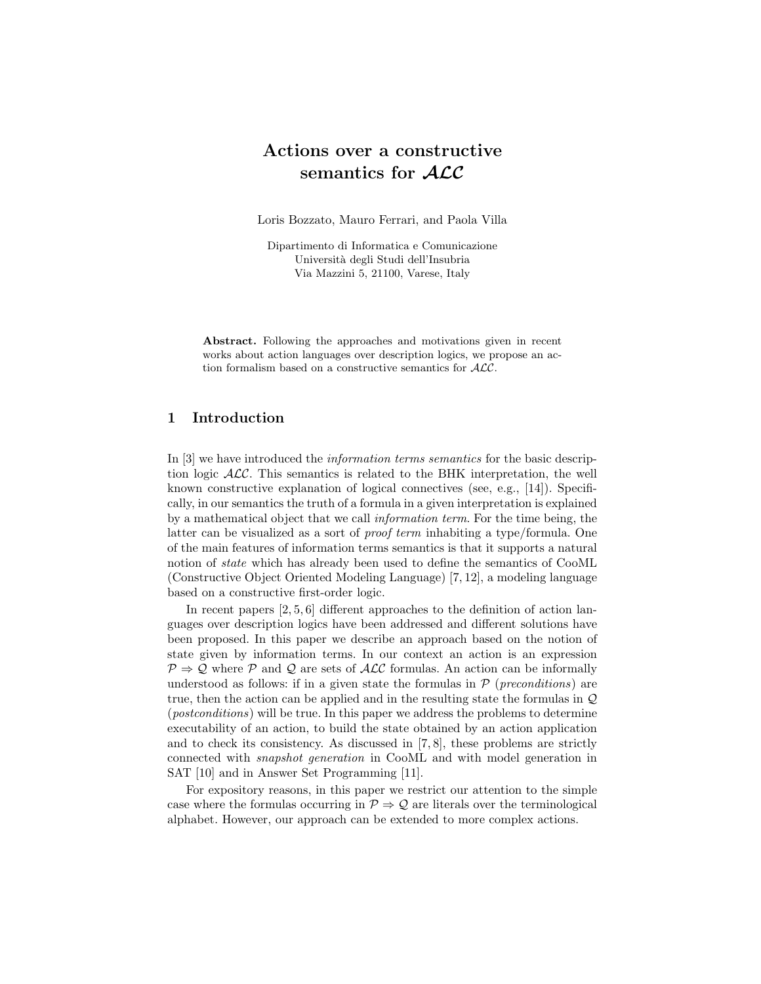# Actions over a constructive semantics for ALC

Loris Bozzato, Mauro Ferrari, and Paola Villa

Dipartimento di Informatica e Comunicazione Università degli Studi dell'Insubria Via Mazzini 5, 21100, Varese, Italy

Abstract. Following the approaches and motivations given in recent works about action languages over description logics, we propose an action formalism based on a constructive semantics for ALC.

## 1 Introduction

In [3] we have introduced the information terms semantics for the basic description logic  $ALC$ . This semantics is related to the BHK interpretation, the well known constructive explanation of logical connectives (see, e.g., [14]). Specifically, in our semantics the truth of a formula in a given interpretation is explained by a mathematical object that we call information term. For the time being, the latter can be visualized as a sort of proof term inhabiting a type/formula. One of the main features of information terms semantics is that it supports a natural notion of state which has already been used to define the semantics of CooML (Constructive Object Oriented Modeling Language) [7, 12], a modeling language based on a constructive first-order logic.

In recent papers  $[2, 5, 6]$  different approaches to the definition of action languages over description logics have been addressed and different solutions have been proposed. In this paper we describe an approach based on the notion of state given by information terms. In our context an action is an expression  $P \Rightarrow Q$  where P and Q are sets of ALC formulas. An action can be informally understood as follows: if in a given state the formulas in  $P$  (*preconditions*) are true, then the action can be applied and in the resulting state the formulas in  $\mathcal{Q}$ (postconditions) will be true. In this paper we address the problems to determine executability of an action, to build the state obtained by an action application and to check its consistency. As discussed in [7, 8], these problems are strictly connected with snapshot generation in CooML and with model generation in SAT [10] and in Answer Set Programming [11].

For expository reasons, in this paper we restrict our attention to the simple case where the formulas occurring in  $\mathcal{P} \Rightarrow \mathcal{Q}$  are literals over the terminological alphabet. However, our approach can be extended to more complex actions.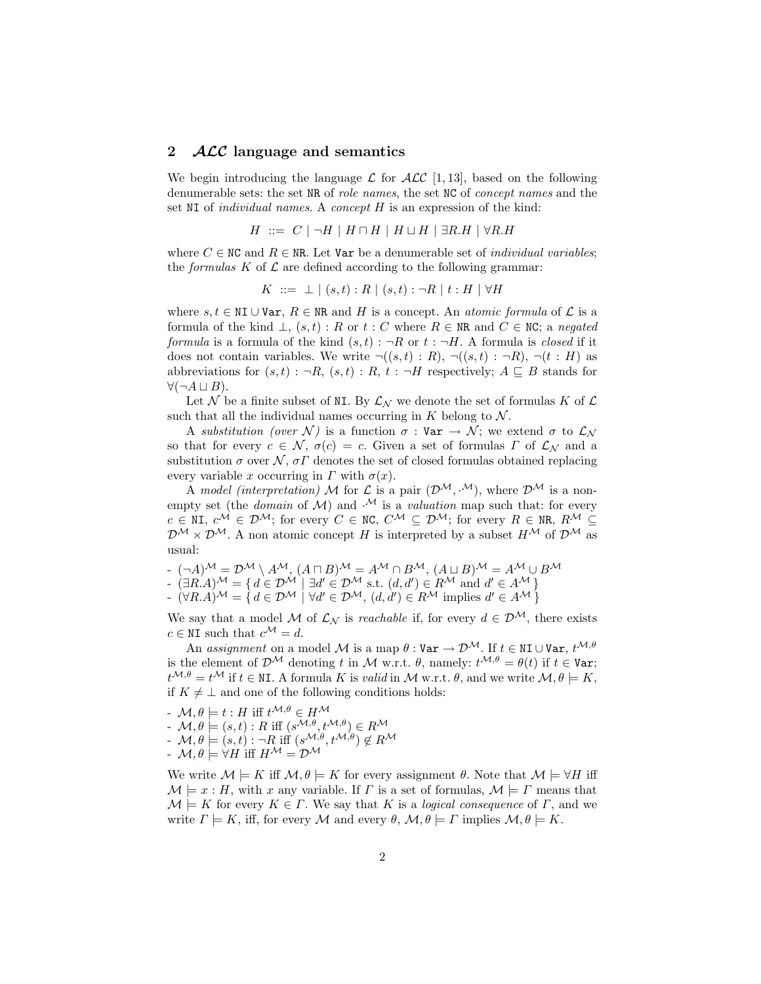### 2 *ACC* language and semantics

We begin introducing the language  $\mathcal L$  for  $\mathcal{ALC}$  [1, 13], based on the following denumerable sets: the set NR of role names, the set NC of concept names and the set NI of *individual names*. A *concept H* is an expression of the kind:

$$
H \ ::= \ C \ | \ \neg H \ | \ H \sqcap H \ | \ H \sqcup H \ | \ \exists R.H \ | \ \forall R.H
$$

where  $C \in \mathbb{N}C$  and  $R \in \mathbb{N}R$ . Let Var be a denumerable set of *individual variables*; the *formulas*  $K$  of  $\mathcal L$  are defined according to the following grammar:

$$
K \ ::= \bot \ | \ (s,t) : R \ | \ (s,t) : \neg R \ | \ t : H \ | \ \forall H
$$

where  $s, t \in \mathbb{N}$ I ∪ Var,  $R \in \mathbb{N}$ R and H is a concept. An *atomic formula* of  $\mathcal{L}$  is a formula of the kind  $\bot$ ,  $(s, t)$ : R or  $t : C$  where  $R \in \mathbb{NR}$  and  $C \in \mathbb{NC}$ ; a negated formula is a formula of the kind  $(s, t)$ :  $\neg R$  or  $t : \neg H$ . A formula is *closed* if it does not contain variables. We write  $\neg((s,t): R)$ ,  $\neg((s,t): \neg R)$ ,  $\neg(t: H)$  as abbreviations for  $(s, t) : \neg R$ ,  $(s, t) : R$ ,  $t : \neg H$  respectively;  $A \sqsubseteq B$  stands for  $\forall (\neg A \sqcup B).$ 

Let N be a finite subset of NI. By  $\mathcal{L}_{\mathcal{N}}$  we denote the set of formulas K of  $\mathcal{L}$ such that all the individual names occurring in  $K$  belong to  $\mathcal N$ .

A substitution (over N) is a function  $\sigma : \mathbf{Var} \to \mathcal{N}$ ; we extend  $\sigma$  to  $\mathcal{L}_{\mathcal{N}}$ so that for every  $c \in \mathcal{N}$ ,  $\sigma(c) = c$ . Given a set of formulas  $\Gamma$  of  $\mathcal{L}_{\mathcal{N}}$  and a substitution  $\sigma$  over  $\mathcal{N}, \sigma \Gamma$  denotes the set of closed formulas obtained replacing every variable x occurring in  $\Gamma$  with  $\sigma(x)$ .

A model (interpretation) M for  $\mathcal L$  is a pair  $(\mathcal D^{\mathcal M}, \mathcal M)$ , where  $\mathcal D^{\mathcal M}$  is a nonempty set (the *domain* of M) and  $\mathcal{M}$  is a *valuation* map such that: for every  $c \in \mathbb{N}$ I,  $c^{\mathcal{M}} \in \mathcal{D}^{\mathcal{M}}$ ; for every  $C \in \mathbb{N}$ C,  $C^{\mathcal{M}} \subseteq \mathcal{D}^{\mathcal{M}}$ ; for every  $R \in \mathbb{N}$ R,  $R^{\mathcal{M}} \subseteq$  $\mathcal{D}^{\mathcal{M}} \times \mathcal{D}^{\mathcal{M}}$ . A non atomic concept H is interpreted by a subset  $H^{\mathcal{M}}$  of  $\mathcal{D}^{\mathcal{M}}$  as usual:

- 
$$
(\neg A)^{\mathcal{M}} = \mathcal{D}^{\mathcal{M}} \setminus A^{\mathcal{M}}, (A \sqcap B)^{\mathcal{M}} = A^{\mathcal{M}} \cap B^{\mathcal{M}}, (A \sqcup B)^{\mathcal{M}} = A^{\mathcal{M}} \cup B^{\mathcal{M}}
$$

- 
$$
(\exists R.A)^{\mathcal{M}} = \{ d \in \mathcal{D}^{\mathcal{M}} \mid \exists d' \in \mathcal{D}^{\mathcal{M}} \text{ s.t. } (d, d') \in R^{\mathcal{M}} \text{ and } d' \in A^{\mathcal{M}} \}
$$
  
 $(\forall R.A)^{\mathcal{M}} = \{ d \in \mathcal{D}^{\mathcal{M}} \mid \forall d' \in \mathcal{D}^{\mathcal{M}} \text{ s.t. } (d, d') \in R^{\mathcal{M}} \text{ and } d' \in A^{\mathcal{M}} \}$ 

$$
- (\forall R.A)^{\mathcal{M}} = \{ d \in \mathcal{D}^{\mathcal{M}} \mid \forall d' \in \mathcal{D}^{\mathcal{M}}, (d, d') \in R^{\mathcal{M}} \text{ implies } d' \in A^{\mathcal{M}} \}
$$

We say that a model M of  $\mathcal{L}_{N}$  is *reachable* if, for every  $d \in \mathcal{D}^{\mathcal{M}}$ , there exists  $c \in \mathbb{N}$ I such that  $c^{\mathcal{M}} = d$ .

An assignment on a model M is a map  $\theta$  : Var  $\to \mathcal{D}^{\mathcal{M}}$ . If  $t \in \mathbb{N}$  UVar,  $t^{\mathcal{M}, \theta}$ is the element of  $\mathcal{D}^{\mathcal{M}}$  denoting t in M w.r.t.  $\theta$ , namely:  $t^{\mathcal{M},\theta} = \theta(t)$  if  $t \in \text{Var}$ ;  $t^{\mathcal{M},\theta} = t^{\mathcal{M}}$  if  $t \in \mathbb{N}$ . A formula K is valid in M w.r.t.  $\theta$ , and we write  $\mathcal{M}, \theta \models K$ , if  $K \neq \perp$  and one of the following conditions holds:

- 
$$
\mathcal{M}, \theta \models t : H \text{ iff } t^{\mathcal{M}, \theta} \in H^{\mathcal{M}}
$$
  
\n-  $\mathcal{M}, \theta \models (s, t) : R \text{ iff } (s^{\mathcal{M}, \theta}, t^{\mathcal{M}, \theta}) \in R^{\mathcal{M}}$   
\n-  $\mathcal{M}, \theta \models (s, t) : \neg R \text{ iff } (s^{\mathcal{M}, \theta}, t^{\mathcal{M}, \theta}) \notin R^{\mathcal{M}}$   
\n-  $\mathcal{M}, \theta \models \forall H \text{ iff } H^{\mathcal{M}} = \mathcal{D}^{\mathcal{M}}$ 

We write  $\mathcal{M} \models K$  iff  $\mathcal{M}, \theta \models K$  for every assignment  $\theta$ . Note that  $\mathcal{M} \models \forall H$  iff  $\mathcal{M} \models x : H$ , with x any variable. If  $\Gamma$  is a set of formulas,  $\mathcal{M} \models \Gamma$  means that  $\mathcal{M} \models K$  for every  $K \in \Gamma$ . We say that K is a *logical consequence* of  $\Gamma$ , and we write  $\Gamma \models K$ , iff, for every M and every  $\theta$ ,  $\mathcal{M}, \theta \models \Gamma$  implies  $\mathcal{M}, \theta \models K$ .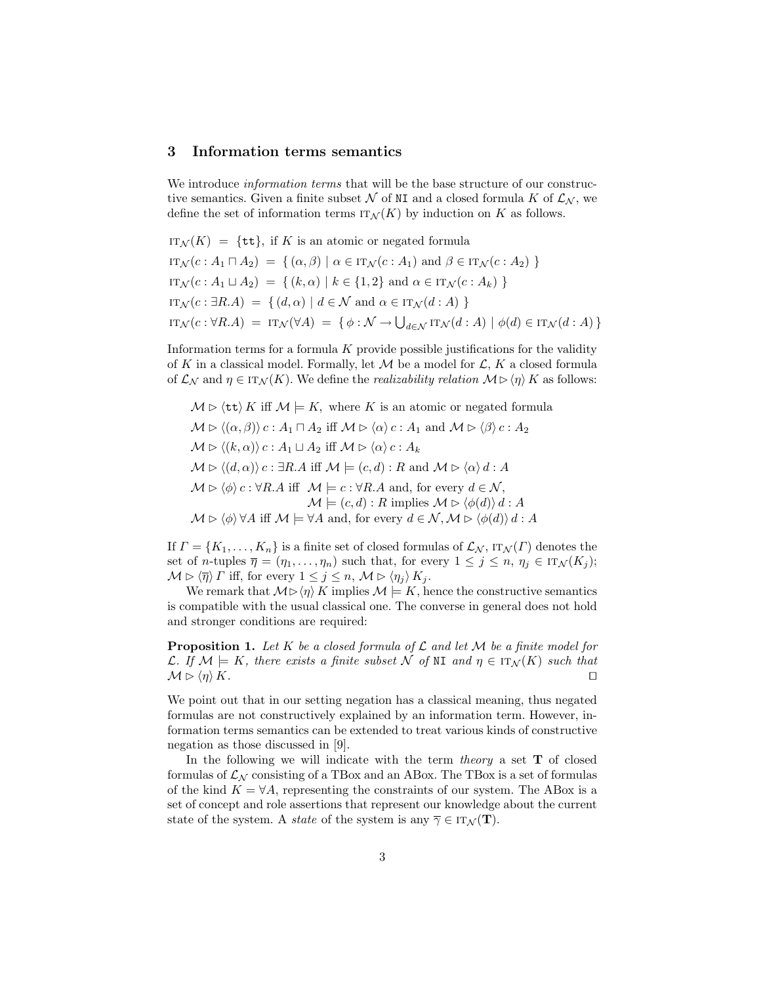### 3 Information terms semantics

We introduce *information terms* that will be the base structure of our constructive semantics. Given a finite subset N of NI and a closed formula K of  $\mathcal{L}_{N}$ , we define the set of information terms  $IT_{\mathcal{N}}(K)$  by induction on K as follows.

IT<sub>N</sub>(K) = {tt}, if K is an atomic or negated formula  
\nIT<sub>N</sub>(c: A<sub>1</sub> 
$$
\sqcap
$$
 A<sub>2</sub>) = {( $\alpha$ ,  $\beta$ ) |  $\alpha \in IT_N(c : A_1)$  and  $\beta \in IT_N(c : A_2)$  }  
\nIT<sub>N</sub>(c: A<sub>1</sub>  $\sqcup$  A<sub>2</sub>) = {( $k$ ,  $\alpha$ ) |  $k \in \{1,2\}$  and  $\alpha \in IT_N(c : A_k)$  }  
\nIT<sub>N</sub>(c:  $\exists R.A$ ) = {( $d$ ,  $\alpha$ ) |  $d \in N$  and  $\alpha \in IT_N(d : A)$  }  
\nIT<sub>N</sub>(c:  $\forall R.A$ ) = IT<sub>N</sub>( $\forall A$ ) = { $\phi : N \rightarrow \bigcup_{d \in N} IT_N(d : A)$  |  $\phi(d) \in IT_N(d : A)$ }

Information terms for a formula  $K$  provide possible justifications for the validity of K in a classical model. Formally, let  $\mathcal M$  be a model for  $\mathcal L, K$  a closed formula of  $\mathcal{L}_{\mathcal{N}}$  and  $\eta \in \text{IT}_{\mathcal{N}}(K)$ . We define the *realizability relation*  $\mathcal{M} \triangleright \langle \eta \rangle K$  as follows:

 $M \triangleright \langle \text{tt} \rangle K$  iff  $M \models K$ , where K is an atomic or negated formula  $M \triangleright \langle (\alpha, \beta) \rangle c : A_1 \sqcap A_2$  iff  $M \triangleright \langle \alpha \rangle c : A_1$  and  $M \triangleright \langle \beta \rangle c : A_2$  $\mathcal{M} \triangleright \langle (k, \alpha) \rangle c : A_1 \sqcup A_2$  iff  $\mathcal{M} \triangleright \langle \alpha \rangle c : A_k$  $M \triangleright \langle (d, \alpha) \rangle c : \exists R.A \text{ iff } \mathcal{M} \models (c, d) : R \text{ and } \mathcal{M} \triangleright \langle \alpha \rangle d : A$  $\mathcal{M} \triangleright \langle \phi \rangle$  c :  $\forall R.A$  iff  $\mathcal{M} \models c : \forall R.A$  and, for every  $d \in \mathcal{N}$ ,  $\mathcal{M} \models (c, d) : R$  implies  $\mathcal{M} \triangleright \langle \phi(d) \rangle d : A$  $M \triangleright \langle \phi \rangle \forall A$  iff  $\mathcal{M} \models \forall A$  and, for every  $d \in \mathcal{N}, \mathcal{M} \triangleright \langle \phi(d) \rangle d : A$ 

If  $\Gamma = \{K_1, \ldots, K_n\}$  is a finite set of closed formulas of  $\mathcal{L}_{\mathcal{N}}$ ,  $\text{IT}_{\mathcal{N}}(\Gamma)$  denotes the set of *n*-tuples  $\overline{\eta} = (\eta_1, \ldots, \eta_n)$  such that, for every  $1 \leq j \leq n, \eta_j \in \text{IT}_{\mathcal{N}}(K_j)$ ;  $\mathcal{M} \triangleright \langle \overline{\eta} \rangle \Gamma$  iff, for every  $1 \leq j \leq n$ ,  $\mathcal{M} \triangleright \langle \eta_j \rangle K_j$ .

We remark that  $M \triangleright \langle \eta \rangle K$  implies  $M \models K$ , hence the constructive semantics is compatible with the usual classical one. The converse in general does not hold and stronger conditions are required:

**Proposition 1.** Let K be a closed formula of  $\mathcal L$  and let M be a finite model for L. If  $\mathcal{M} \models K$ , there exists a finite subset N of NI and  $\eta \in \text{IT}_{\mathcal{N}}(K)$  such that  $\mathcal{M} \triangleright \langle \eta \rangle K.$ 

We point out that in our setting negation has a classical meaning, thus negated formulas are not constructively explained by an information term. However, information terms semantics can be extended to treat various kinds of constructive negation as those discussed in [9].

In the following we will indicate with the term *theory* a set  $\mathbf T$  of closed formulas of  $\mathcal{L}_{N}$  consisting of a TBox and an ABox. The TBox is a set of formulas of the kind  $K = \forall A$ , representing the constraints of our system. The ABox is a set of concept and role assertions that represent our knowledge about the current state of the system. A *state* of the system is any  $\overline{\gamma} \in IT_{\mathcal{N}}(\mathbf{T}).$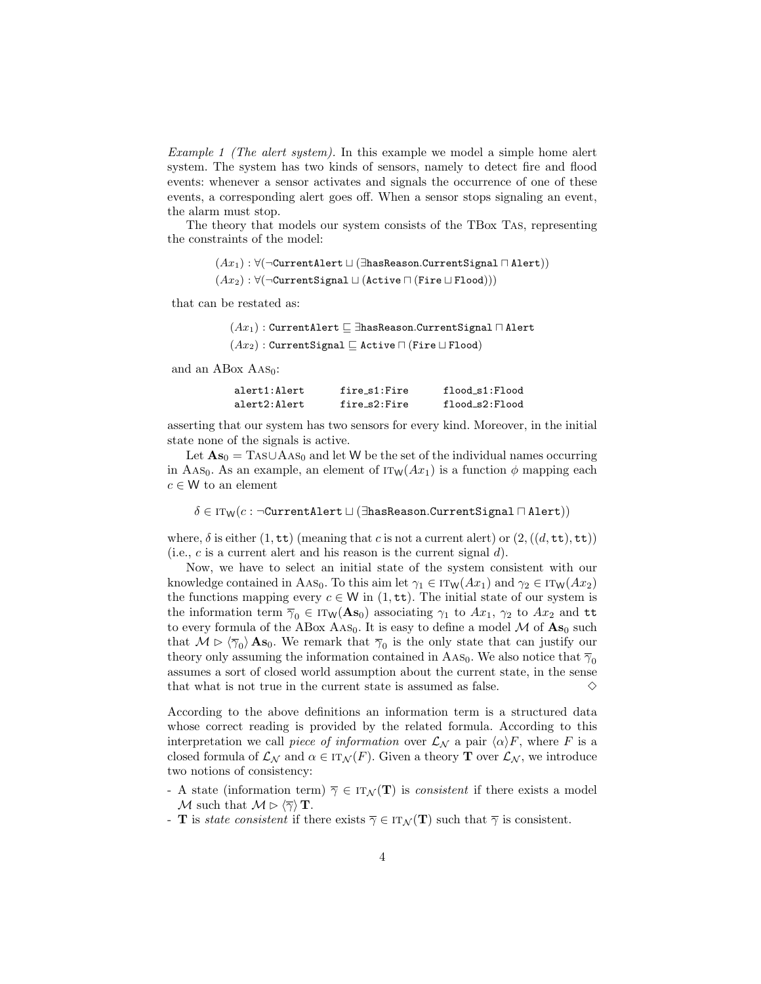Example 1 (The alert system). In this example we model a simple home alert system. The system has two kinds of sensors, namely to detect fire and flood events: whenever a sensor activates and signals the occurrence of one of these events, a corresponding alert goes off. When a sensor stops signaling an event, the alarm must stop.

The theory that models our system consists of the TBox Tas, representing the constraints of the model:

> $(Ax_1): \forall (\neg \text{CurrentAlbert} \sqcup (\exists \text{hasReason}.\text{CurrentSignal} \sqcap \text{Alert}))$  $(Ax_2): \forall(\neg \texttt{CurrentSignal} \sqcup (Active \sqcap (Fire \sqcup \texttt{Flood})))$

that can be restated as:

 $(Ax_1)$ : CurrentAlert  $\sqsubseteq$  ∃hasReason.CurrentSignal  $\sqcap$  Alert

 $(Ax_2)$ : CurrentSignal  $\Box$  Active  $\Box$  (Fire  $\Box$  Flood)

and an ABox  $\text{As}_0$ :

| alert1:Alert | fire s1:Fire | flood s1:Flood |
|--------------|--------------|----------------|
| alert2:Alert | fire_s2:Fire | flood_s2:Flood |

asserting that our system has two sensors for every kind. Moreover, in the initial state none of the signals is active.

Let  $\mathbf{A}s_0 = \text{TaS} \cup \text{A} \text{AS}_0$  and let W be the set of the individual names occurring in Aas<sub>0</sub>. As an example, an element of  $IT_W(Ax_1)$  is a function  $\phi$  mapping each  $c \in W$  to an element

 $\delta \in \text{ITW}(c : \neg \text{CurrentAlbert} \sqcup (\exists \text{hasReason.CurrentSignal } \sqcap \text{Alert}))$ 

where,  $\delta$  is either  $(1, \text{tt})$  (meaning that c is not a current alert) or  $(2, ((d, \text{tt}), \text{tt}))$ (i.e.,  $c$  is a current alert and his reason is the current signal  $d$ ).

Now, we have to select an initial state of the system consistent with our knowledge contained in AAs<sub>0</sub>. To this aim let  $\gamma_1 \in \text{IT}_W(Ax_1)$  and  $\gamma_2 \in \text{IT}_W(Ax_2)$ the functions mapping every  $c \in W$  in  $(1, \text{tt})$ . The initial state of our system is the information term  $\overline{\gamma}_0 \in \text{IT}_W(\mathbf{As}_0)$  associating  $\gamma_1$  to  $Ax_1$ ,  $\gamma_2$  to  $Ax_2$  and tt to every formula of the ABox Aas<sub>0</sub>. It is easy to define a model  $\mathcal M$  of  $\mathbf{As}_0$  such that  $M \triangleright \langle \overline{\gamma}_0 \rangle$  As<sub>0</sub>. We remark that  $\overline{\gamma}_0$  is the only state that can justify our theory only assuming the information contained in AAs<sub>0</sub>. We also notice that  $\overline{\gamma}_0$ assumes a sort of closed world assumption about the current state, in the sense that what is not true in the current state is assumed as false.  $\Diamond$ 

According to the above definitions an information term is a structured data whose correct reading is provided by the related formula. According to this interpretation we call piece of information over  $\mathcal{L}_{\mathcal{N}}$  a pair  $\langle \alpha \rangle F$ , where F is a closed formula of  $\mathcal{L}_{\mathcal{N}}$  and  $\alpha \in \text{IT}_{\mathcal{N}}(F)$ . Given a theory **T** over  $\mathcal{L}_{\mathcal{N}}$ , we introduce two notions of consistency:

- A state (information term)  $\overline{\gamma} \in \text{IT}_{\mathcal{N}}(\mathbf{T})$  is *consistent* if there exists a model M such that  $M \triangleright \langle \overline{\gamma} \rangle \mathbf{T}$ .
- **T** is *state consistent* if there exists  $\overline{\gamma} \in \text{IT}_{\mathcal{N}}(\mathbf{T})$  such that  $\overline{\gamma}$  is consistent.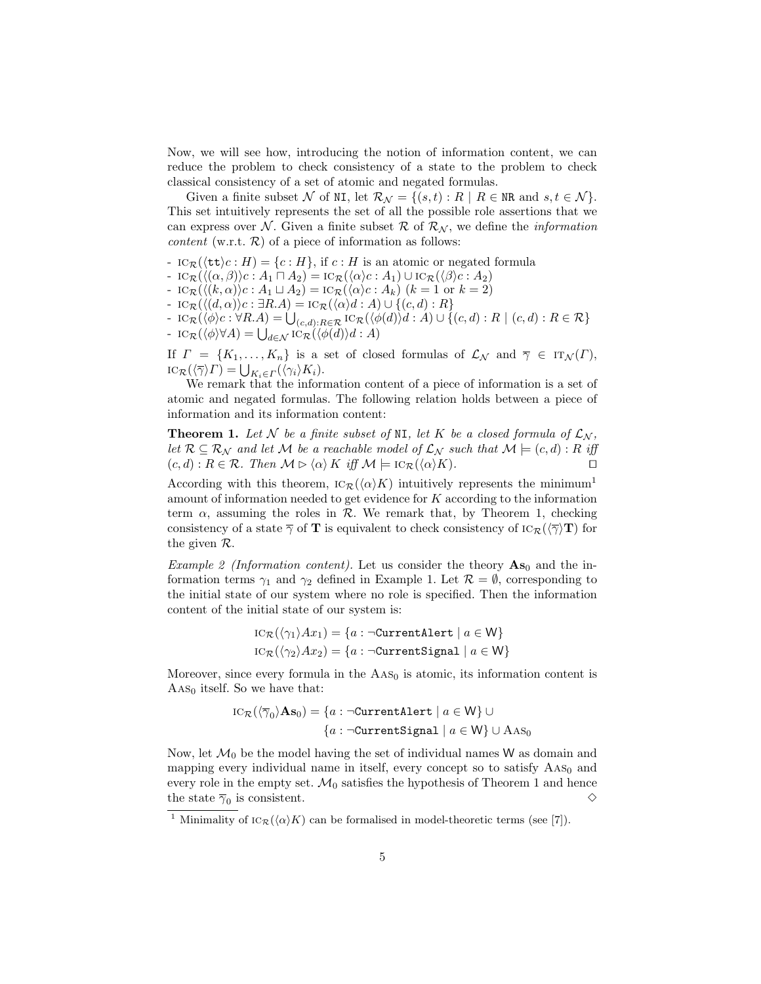Now, we will see how, introducing the notion of information content, we can reduce the problem to check consistency of a state to the problem to check classical consistency of a set of atomic and negated formulas.

Given a finite subset N of NI, let  $\mathcal{R}_{\mathcal{N}} = \{(s, t) : R \mid R \in \mathbb{N} \text{R} \text{ and } s, t \in \mathcal{N} \}.$ This set intuitively represents the set of all the possible role assertions that we can express over N. Given a finite subset R of  $\mathcal{R}_{N}$ , we define the *information content* (w.r.t.  $\mathcal{R}$ ) of a piece of information as follows:

- $IC_{\mathcal{R}}(\langle \text{tt}\rangle c : H) = \{c : H\}, \text{ if } c : H \text{ is an atomic or negated formula }$
- $\iota\mathrm{IC}_{\mathcal{R}}(\langle(\alpha,\beta)\rangle c : A_1 \sqcap A_2) = \iota\mathrm{C}_{\mathcal{R}}(\langle\alpha\rangle c : A_1) \cup \iota\mathrm{C}_{\mathcal{R}}(\langle\beta\rangle c : A_2)$
- $\text{IC}_{\mathcal{R}}(\langle (k, \alpha) \rangle c : A_1 \sqcup A_2) = \text{IC}_{\mathcal{R}}(\langle \alpha \rangle c : A_k)$   $(k = 1 \text{ or } k = 2)$
- $-$  iC<sub>R</sub>( $\langle (d, \alpha) \rangle$ c : ∃R.A) = iC<sub>R</sub>( $\langle \alpha \rangle$ d : A) ∪ {(c, d) : R}
- $\iota_{\mathcal{ICR}}(\langle \phi \rangle c : \forall R.A) = \bigcup_{(c,d): R \in \mathcal{R}} \iota_{\mathcal{CR}}(\langle \phi(d) \rangle d : A) \cup \{ (c,d) : R \mid (c,d) : R \in \mathcal{R} \}$ -  $\iota_{\mathcal{R}}(\langle \phi \rangle \forall A) = \bigcup_{d \in \mathcal{N}} \iota_{\mathcal{R}}(\langle \phi(d) \rangle d : A)$

If  $\Gamma = \{K_1, \ldots, K_n\}$  is a set of closed formulas of  $\mathcal{L}_{\mathcal{N}}$  and  $\overline{\gamma} \in \text{IT}_{\mathcal{N}}(\Gamma)$ ,  $\operatorname{IC}_{\mathcal{R}}(\langle \overline{\gamma} \rangle \Gamma) = \bigcup_{K_i \in \Gamma} (\langle \gamma_i \rangle K_i).$ 

We remark that the information content of a piece of information is a set of atomic and negated formulas. The following relation holds between a piece of information and its information content:

**Theorem 1.** Let N be a finite subset of NI, let K be a closed formula of  $\mathcal{L}_{\mathcal{N}}$ , let  $\mathcal{R} \subseteq \mathcal{R}_{\mathcal{N}}$  and let M be a reachable model of  $\mathcal{L}_{\mathcal{N}}$  such that  $\mathcal{M} \models (c,d) : R$  iff  $(c, d) : R \in \mathcal{R}$ . Then  $\mathcal{M} \triangleright \langle \alpha \rangle K$  iff  $\mathcal{M} \models \mathrm{IC}_{\mathcal{R}}(\langle \alpha \rangle K)$ .

According with this theorem,  $\text{IC}_{\mathcal{R}}(\langle \alpha \rangle K)$  intuitively represents the minimum<sup>1</sup> amount of information needed to get evidence for  $K$  according to the information term  $\alpha$ , assuming the roles in  $\mathcal{R}$ . We remark that, by Theorem 1, checking consistency of a state  $\overline{\gamma}$  of **T** is equivalent to check consistency of  $\text{IC}_{\mathcal{R}}(\langle \overline{\gamma} \rangle)$  for the given R.

*Example 2 (Information content)*. Let us consider the theory  $\mathbf{A}\mathbf{s}_0$  and the information terms  $\gamma_1$  and  $\gamma_2$  defined in Example 1. Let  $\mathcal{R} = \emptyset$ , corresponding to the initial state of our system where no role is specified. Then the information content of the initial state of our system is:

$$
IC_{\mathcal{R}}(\langle \gamma_1 \rangle Ax_1) = \{a : \neg \text{CurrentAlbert} \mid a \in W\}
$$
  

$$
IC_{\mathcal{R}}(\langle \gamma_2 \rangle Ax_2) = \{a : \neg \text{CurrentSignal} \mid a \in W\}
$$

Moreover, since every formula in the  $\text{AAS}_0$  is atomic, its information content is  $\text{As}_0$  itself. So we have that:

$$
IC_{\mathcal{R}}(\langle \overline{\gamma}_0 \rangle \mathbf{A} \mathbf{s}_0) = \{ a : \neg \text{CurrentAlbert} \mid a \in \mathsf{W} \} \cup
$$

$$
\{ a : \neg \text{CurrentSignal} \mid a \in \mathsf{W} \} \cup \text{AAS}_0
$$

Now, let  $\mathcal{M}_0$  be the model having the set of individual names W as domain and mapping every individual name in itself, every concept so to satisfy  $\text{As}_0$  and every role in the empty set.  $\mathcal{M}_0$  satisfies the hypothesis of Theorem 1 and hence the state  $\overline{\gamma}_0$  is consistent.  $\diamondsuit$ 

<sup>&</sup>lt;sup>1</sup> Minimality of  $\text{IC}_{\mathcal{R}}(\langle \alpha \rangle K)$  can be formalised in model-theoretic terms (see [7]).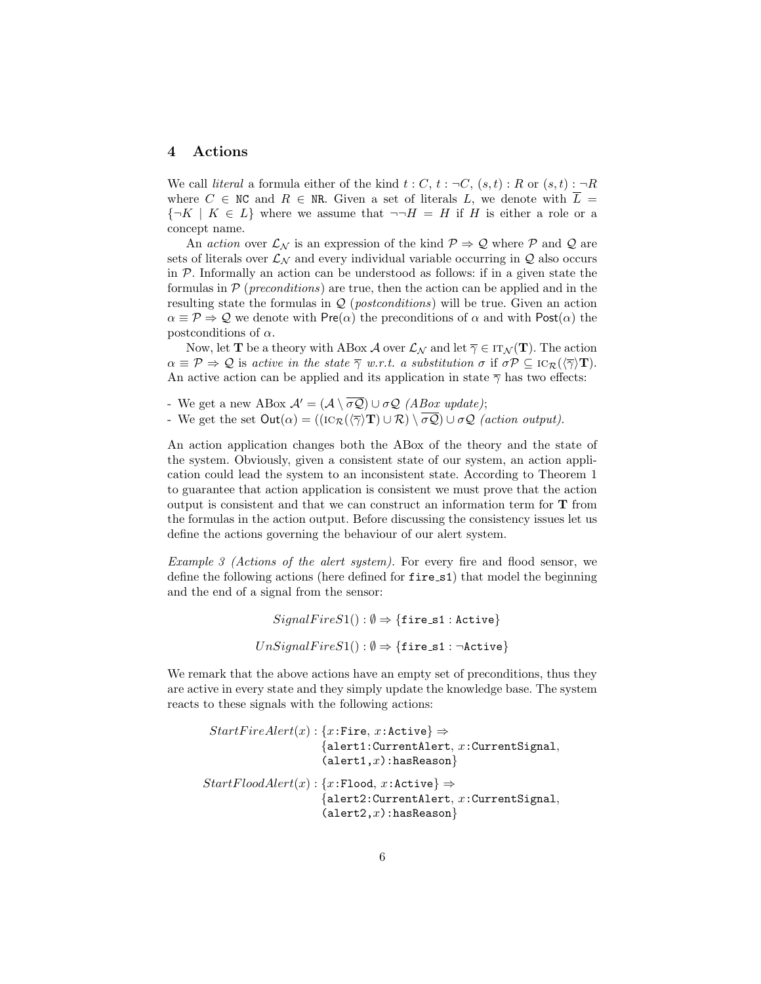#### 4 Actions

We call *literal* a formula either of the kind  $t : C, t : \neg C, (s, t) : R$  or  $(s, t) : \neg R$ where  $C \in \mathbb{N}C$  and  $R \in \mathbb{N}R$ . Given a set of literals L, we denote with  $L =$  ${\neg K \mid K \in L}$  where we assume that  $\neg H = H$  if H is either a role or a concept name.

An action over  $\mathcal{L}_{\mathcal{N}}$  is an expression of the kind  $\mathcal{P} \Rightarrow \mathcal{Q}$  where  $\mathcal{P}$  and  $\mathcal{Q}$  are sets of literals over  $\mathcal{L}_{\mathcal{N}}$  and every individual variable occurring in  $\mathcal{Q}$  also occurs in P. Informally an action can be understood as follows: if in a given state the formulas in  $P$  (*preconditions*) are true, then the action can be applied and in the resulting state the formulas in Q (postconditions) will be true. Given an action  $\alpha \equiv \mathcal{P} \Rightarrow \mathcal{Q}$  we denote with Pre( $\alpha$ ) the preconditions of  $\alpha$  and with Post( $\alpha$ ) the postconditions of  $\alpha$ .

Now, let **T** be a theory with ABox A over  $\mathcal{L}_{\mathcal{N}}$  and let  $\overline{\gamma} \in IT_{\mathcal{N}}(\mathbf{T})$ . The action  $\alpha \equiv \mathcal{P} \Rightarrow \mathcal{Q}$  is active in the state  $\overline{\gamma}$  w.r.t. a substitution  $\sigma$  if  $\sigma \mathcal{P} \subseteq \text{IC}_{\mathcal{R}}(\langle \overline{\gamma} \rangle \mathbf{T}).$ An active action can be applied and its application in state  $\overline{\gamma}$  has two effects:

- We get a new ABox  $\mathcal{A}' = (\mathcal{A} \setminus \overline{\sigma \mathcal{Q}}) \cup \sigma \mathcal{Q}$  (*ABox update*);
- We get the set  $Out(\alpha) = ((\text{IC}_{\mathcal{R}}(\langle \overline{\gamma} \rangle \mathbf{T}) \cup \mathcal{R}) \setminus \overline{\sigma \mathcal{Q}}) \cup \sigma \mathcal{Q}$  (action output).

An action application changes both the ABox of the theory and the state of the system. Obviously, given a consistent state of our system, an action application could lead the system to an inconsistent state. According to Theorem 1 to guarantee that action application is consistent we must prove that the action output is consistent and that we can construct an information term for T from the formulas in the action output. Before discussing the consistency issues let us define the actions governing the behaviour of our alert system.

Example 3 (Actions of the alert system). For every fire and flood sensor, we define the following actions (here defined for fire s1) that model the beginning and the end of a signal from the sensor:

```
SignalFireS1() : \emptyset \Rightarrow { \text{fires1 : Active } }UnSignalFireS1() : \emptyset \Rightarrow \{\texttt{fireS1}: \neg \texttt{Active}\}\
```
We remark that the above actions have an empty set of preconditions, thus they are active in every state and they simply update the knowledge base. The system reacts to these signals with the following actions:

```
StartFireAlbert(x): \{x: \text{Fire}, x: \text{Active}\} \Rightarrow{a}lert1: CurrentAlert, x: CurrentSignal,
                            {(\texttt{alert1},x):}\texttt{hasReason}StartFloodAlert(x): \{x: \texttt{Flood}, x: \texttt{Active}\} \Rightarrow{alert2:CurrentAlert, x:CurrentSignal,
                            {(\texttt{alet2},x): \texttt{hasReason}}
```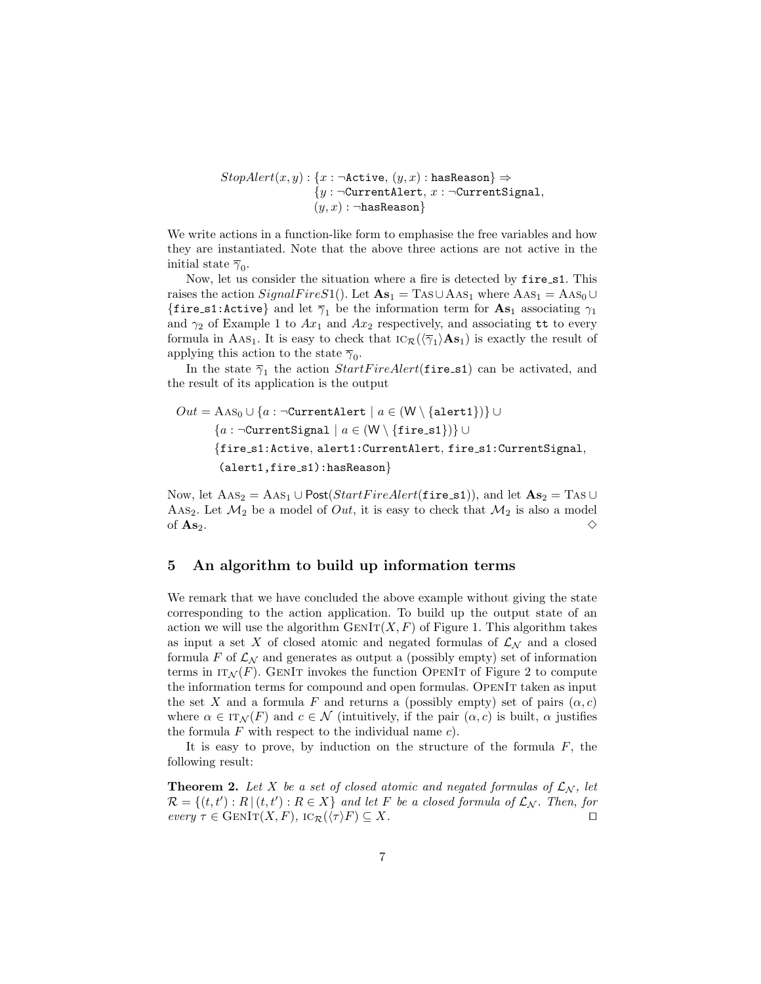$StopAlert(x, y) : \{x : \neg \text{Active}, (y, x) : \text{hasReason}\} \Rightarrow$  ${y : \neg$ CurrentAlert,  $x : \neg$ CurrentSignal,  $(y, x)$ :  $\neg$ hasReason}

We write actions in a function-like form to emphasise the free variables and how they are instantiated. Note that the above three actions are not active in the initial state  $\overline{\gamma}_0$ .

Now, let us consider the situation where a fire is detected by fire s1. This raises the action  $SignalFireS1()$ . Let  $\mathbf{As}_1 = \text{Ts} \cup \text{As}_1$  where  $\text{As}_1 = \text{As}_0 \cup$ {fire\_s1:Active} and let  $\overline{\gamma}_1$  be the information term for  $\mathbf{As}_1$  associating  $\gamma_1$ and  $\gamma_2$  of Example 1 to  $Ax_1$  and  $Ax_2$  respectively, and associating tt to every formula in AAs<sub>1</sub>. It is easy to check that  $\text{IC}_{\mathcal{R}}(\langle \overline{\gamma}_1 \rangle \mathbf{A} \mathbf{s}_1)$  is exactly the result of applying this action to the state  $\overline{\gamma}_0$ .

In the state  $\bar{\gamma}_1$  the action  $StartFireAlert(\texttt{fire\_s1})$  can be activated, and the result of its application is the output

$$
Out = \text{As}_0 \cup \{a : \neg \text{CurrentAlbert} \mid a \in (W \setminus \{\text{alett1}\})\} \cup
$$

$$
\{a : \neg \text{CurrentSignal} \mid a \in (W \setminus \{\text{fire\_s1}\})\} \cup
$$

$$
\{\text{fire\_s1:Active, alert1:CurrentAlert, fire\_s1:CurrentSignal,}
$$

$$
(\text{abert1, fire\_s1):\text{hasReason}}\}
$$

Now, let  $\text{AAS}_2 = \text{AAS}_1 \cup \text{Post}(StartFireAlex(tifire_s1)),$  and let  $\text{As}_2 = \text{Ts} \cup$ AAs<sub>2</sub>. Let  $\mathcal{M}_2$  be a model of *Out*, it is easy to check that  $\mathcal{M}_2$  is also a model of  $\mathbf{As}_2$ .

#### 5 An algorithm to build up information terms

We remark that we have concluded the above example without giving the state corresponding to the action application. To build up the output state of an action we will use the algorithm  $\text{GenIT}(X, F)$  of Figure 1. This algorithm takes as input a set X of closed atomic and negated formulas of  $\mathcal{L}_{\mathcal{N}}$  and a closed formula F of  $\mathcal{L}_{\mathcal{N}}$  and generates as output a (possibly empty) set of information terms in  $IT_N(F)$ . GENIT invokes the function OPENIT of Figure 2 to compute the information terms for compound and open formulas. OpenIt taken as input the set X and a formula F and returns a (possibly empty) set of pairs  $(\alpha, c)$ where  $\alpha \in \text{IT}_{\mathcal{N}}(F)$  and  $c \in \mathcal{N}$  (intuitively, if the pair  $(\alpha, c)$  is built,  $\alpha$  justifies the formula  $F$  with respect to the individual name  $c$ ).

It is easy to prove, by induction on the structure of the formula  $F$ , the following result:

**Theorem 2.** Let X be a set of closed atomic and negated formulas of  $\mathcal{L}_{\mathcal{N}}$ , let  $\mathcal{R} = \{(t, t'): R \mid (t, t'): R \in X\}$  and let F be a closed formula of  $\mathcal{L}_{\mathcal{N}}$ . Then, for  $every \tau \in \text{GenIr}(X, F), \text{IC}_{\mathcal{R}}(\langle \tau \rangle F) \subseteq X.$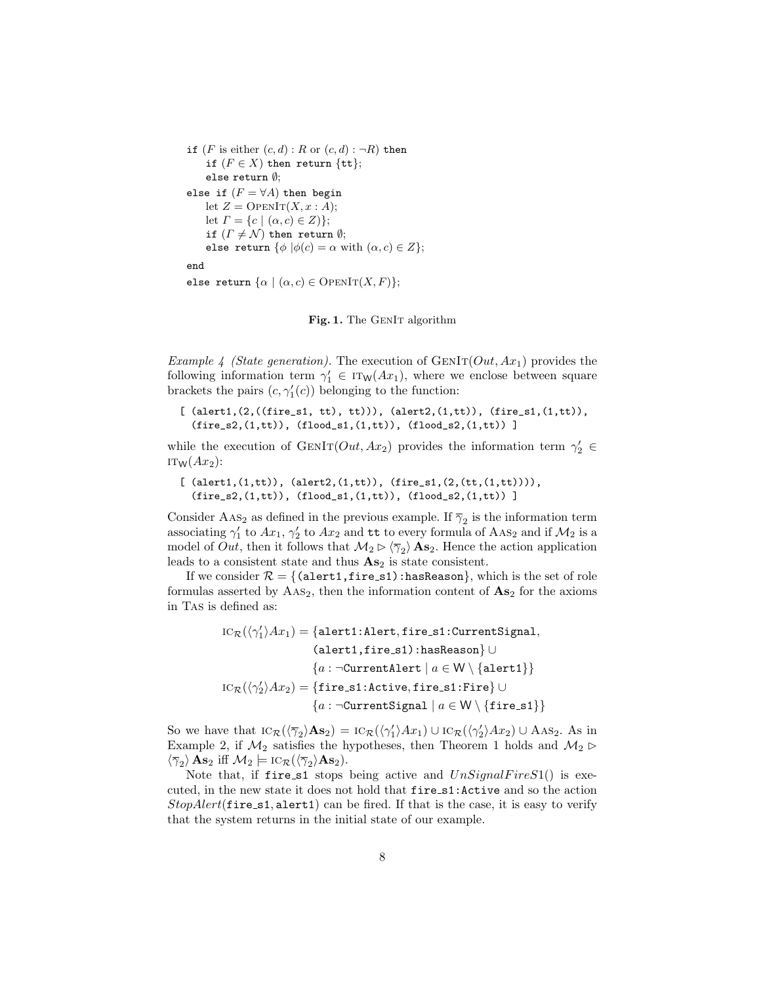```
if (F is either (c, d) : R or (c, d) : \neg R) then
     if (F \in X) then return \{\mathtt{tt}\};else return ∅;
else if (F = \forall A) then begin
     let Z = \text{OPENIT}(X, x : A);let \Gamma = \{c \mid (\alpha, c) \in Z\};
     if (\Gamma \neq \mathcal{N}) then return \emptyset;
     else return \{\phi | \phi(c) = \alpha \text{ with } (\alpha, c) \in Z\};end
else return \{\alpha \mid (\alpha, c) \in OPENIT(X, F);
```


Example 4 (State generation). The execution of  $GENIT(Out, Ax_1)$  provides the following information term  $\gamma_1' \in \text{IT}_W(Ax_1)$ , where we enclose between square brackets the pairs  $(c, \gamma_1'(c))$  belonging to the function:

```
[ (alert1,(2,((fire_s1, tt), tt))), (alert2,(1,tt)), (fire_s1,(1,tt)),
  (fire_s2,(1,tt)), (float_s1,(1,tt)), (float_s2,(1,tt)) ]
```
while the execution of  $GENIT(Out, Ax_2)$  provides the information term  $\gamma'_2$   $\in$  $IT_W(Ax_2)$ :

```
[ (alert1,(1,tt)), (alert2,(1,tt)), (fire_s1,(2,(tt,(1,tt)))),
  (fire_s2,(1,tt)), (flood_s1,(1,tt)), (flood_s2,(1,tt)) ]
```
Consider AAs<sub>2</sub> as defined in the previous example. If  $\overline{\gamma}_2$  is the information term associating  $\gamma'_1$  to  $Ax_1, \gamma'_2$  to  $Ax_2$  and tt to every formula of  $\mathrm{A} \mathrm{A} \mathrm{S}_2$  and if  $\mathcal{M}_2$  is a model of *Out*, then it follows that  $\mathcal{M}_2 \triangleright \langle \overline{\gamma}_2 \rangle$  **As**<sub>2</sub>. Hence the action application leads to a consistent state and thus  $\mathbf{A}s_2$  is state consistent.

If we consider  $\mathcal{R} = \{$  (alert1, fire s1):hasReason}, which is the set of role formulas asserted by  $\text{AAS}_2$ , then the information content of  $\text{As}_2$  for the axioms in Tas is defined as:

```
\mathrm{IC}_{\mathcal{R}}(\langle \gamma'_1 \rangle Ax_1) = \{\texttt{aIert1:Alert}, \texttt{fire\_s1:CurrentSignal},(alert1,fire s1):hasReason} ∪
                          {a : \negCurrentAlert | a \in W \setminus \{ \text{alert1} \}\mathrm{IC}_{\mathcal{R}}(\langle \gamma'_2 \rangle Ax_2) = \{\mathtt{fire\_s1:Active, fire\_s1:Fire}\} \cup{a : \negCurrentSignal | a \in W \setminus \{ \text{fire\_s1} \}
```
So we have that  $\text{IC}_{\mathcal{R}}(\langle \overline{\gamma}_2 \rangle \mathbf{A} \mathbf{s}_2) = \text{IC}_{\mathcal{R}}(\langle \gamma_1' \rangle Ax_1) \cup \text{IC}_{\mathcal{R}}(\langle \gamma_2' \rangle Ax_2) \cup \text{A} \text{A} \mathbf{s}_2$ . As in Example 2, if  $\mathcal{M}_2$  satisfies the hypotheses, then Theorem 1 holds and  $\mathcal{M}_2 \triangleright$  $\langle \overline{\gamma}_2 \rangle \mathbf{A} \mathbf{s}_2$  iff  $\mathcal{M}_2 \models \text{IC}_{\mathcal{R}}(\langle \overline{\gamma}_2 \rangle \mathbf{A} \mathbf{s}_2)$ .

Note that, if fire s1 stops being active and  $UnSignalFireS1()$  is executed, in the new state it does not hold that fire s1:Active and so the action  $StopAlert(\text{fire_s1}, \text{alert1})$  can be fired. If that is the case, it is easy to verify that the system returns in the initial state of our example.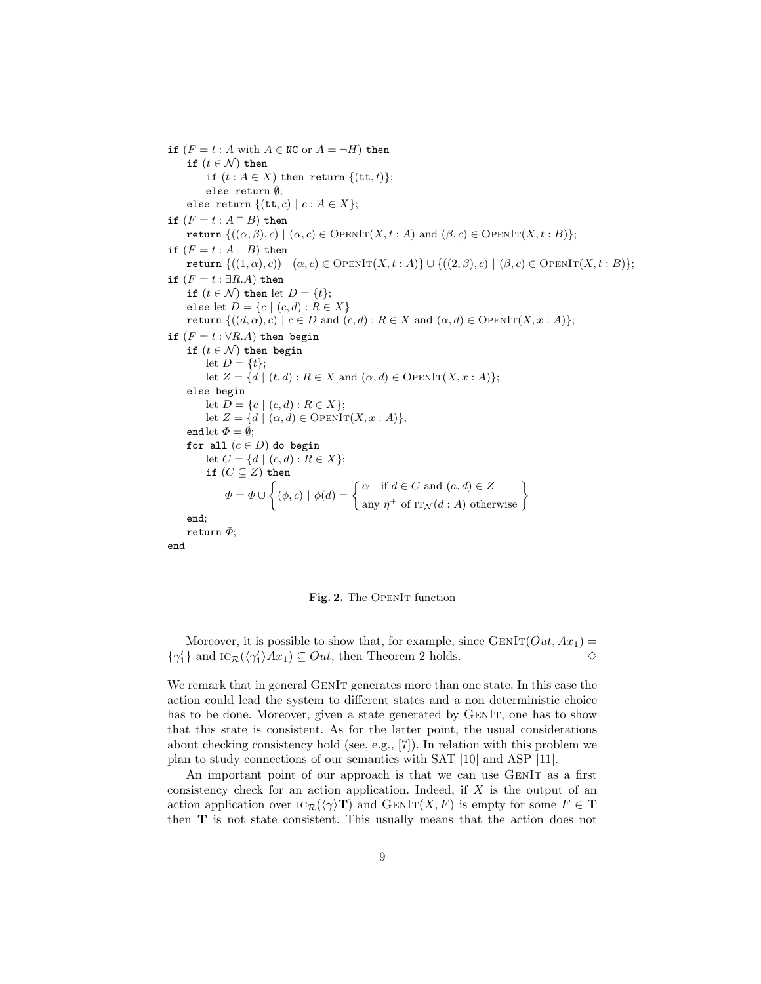if  $(F = t : A \text{ with } A \in \mathbb{N} \text{C} \text{ or } A = \neg H)$  then if  $(t \in \mathcal{N})$  then if  $(t : A \in X)$  then return  $\{(tt, t)\};$ else return ∅; else return  $\{(\texttt{tt}, c) \mid c : A \in X\};$ if  $(F = t : A \sqcap B)$  then return  $\{((\alpha,\beta),c) \mid (\alpha,c) \in \text{OpenIT}(X,t:A) \text{ and } (\beta,c) \in \text{OpenIT}(X,t:B)\};$ if  $(F = t : A \sqcup B)$  then return  $\{((1, \alpha), c) | (\alpha, c) \in \text{OPENIT}(X, t : A)\} \cup \{((2, \beta), c) | (\beta, c) \in \text{OPENIT}(X, t : B)\};$ if  $(F = t : \exists R.A)$  then if  $(t \in \mathcal{N})$  then let  $D = \{t\};$ else let  $D = \{c \mid (c, d) : R \in X\}$ return  $\{((d, \alpha), c) \mid c \in D \text{ and } (c, d) : R \in X \text{ and } (\alpha, d) \in \text{OpenIT}(X, x : A)\};$ if  $(F = t : \forall R.A)$  then begin if  $(t \in \mathcal{N})$  then begin let  $D = \{t\};$ let  $Z = \{d \mid (t, d) : R \in X \text{ and } (\alpha, d) \in \text{OPENIT}(X, x : A)\};$ else begin let  $D = \{c \mid (c, d) : R \in X\};$ let  $Z = \{d \mid (\alpha, d) \in \text{OpenIT}(X, x : A)\};$ end let  $\Phi = \emptyset$ ; for all  $(c \in D)$  do begin let  $C = \{d \mid (c, d) : R \in X\};$ if  $(C \subseteq Z)$  then  $\Phi = \Phi \cup \left\{ (\phi, c) \mid \phi(d) = \right\} \stackrel{\alpha}{\sim} \text{ if } d \in C \text{ and } (a, d) \in Z$  $\alpha$  if  $d \in C$  and  $(a, d) \in Z$ <br>any  $\eta^+$  of  $IT_{\mathcal{N}}(d : A)$  otherwise end; return  $\Phi$ ; end

#### Fig. 2. The OPENIT function

Moreover, it is possible to show that, for example, since  $GENIT(Out, Ax_1)$  $\{\gamma_1'\}$  and  $\iota \circ_R(\langle \gamma_1' \rangle Ax_1) \subseteq Out$ , then Theorem 2 holds.  $\diamond$ 

We remark that in general GENIT generates more than one state. In this case the action could lead the system to different states and a non deterministic choice has to be done. Moreover, given a state generated by GENIT, one has to show that this state is consistent. As for the latter point, the usual considerations about checking consistency hold (see, e.g., [7]). In relation with this problem we plan to study connections of our semantics with SAT [10] and ASP [11].

An important point of our approach is that we can use GENIT as a first consistency check for an action application. Indeed, if  $X$  is the output of an action application over  $\text{IC}_{\mathcal{R}}(\langle \overline{\gamma} \rangle \mathbf{T})$  and  $\text{GENIT}(X, F)$  is empty for some  $F \in \mathbf{T}$ then T is not state consistent. This usually means that the action does not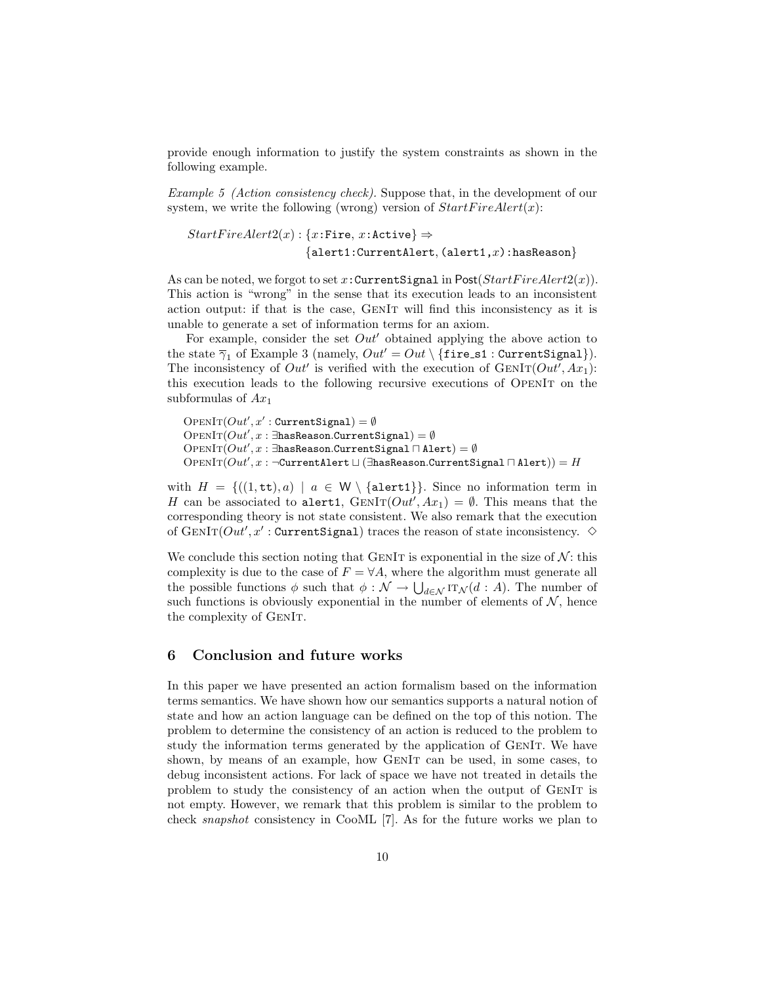provide enough information to justify the system constraints as shown in the following example.

Example 5 (Action consistency check). Suppose that, in the development of our system, we write the following (wrong) version of  $StartFireAlbert(x)$ :

$$
StartFireAlert2(x) : \{x: \text{Fire}, x: \text{Active}\} \Rightarrow
$$

$$
\{ \text{alert1:CurrentAlert}, (\text{alert1}, x): \text{hasReason}\}
$$

As can be noted, we forgot to set x: Current Signal in Post( $StartFireAlex(2(x))$ ). This action is "wrong" in the sense that its execution leads to an inconsistent action output: if that is the case, GenIt will find this inconsistency as it is unable to generate a set of information terms for an axiom.

For example, consider the set  $Out'$  obtained applying the above action to the state  $\overline{\gamma}_1$  of Example 3 (namely,  $Out' = Out \setminus \{$ fire\_s1 : CurrentSignal}). The inconsistency of  $Out'$  is verified with the execution of  $GENIT(Out', Ax_1)$ : this execution leads to the following recursive executions of OpenIt on the subformulas of  $Ax_1$ 

 $\text{OPENIT}(Out', x' : \text{CurrentSignal}) = \emptyset$  $\text{OPT}(\text{Out}', x : \exists \texttt{hasReason}.\text{CurrentSignal}) = \emptyset$  $\mathrm{Oper}\mathrm{I}\mathrm{T}(Out', x : \exists \texttt{hasReason}.\texttt{CurrentSignal} \sqcap \texttt{Alert}) = \emptyset$  $\mathrm{Oper}\mathrm{I}\mathrm{T}(\mathit{Out}', x : \neg \mathrm{Current}\mathrm{Alert} \sqcup (\exists \texttt{hasReason}.\mathrm{Current}\mathrm{Signal} \sqcap \mathrm{Alert})) = H$ 

with  $H = \{((1, \text{tt}), a) \mid a \in W \setminus \{\text{alert1}\}\}\.$  Since no information term in H can be associated to alert1,  $GENIT(Out', Ax_1) = \emptyset$ . This means that the corresponding theory is not state consistent. We also remark that the execution of  $\text{GenIr}(Out', x' : \text{CurrentSignal})$  traces the reason of state inconsistency.  $\diamond$ 

We conclude this section noting that GENIT is exponential in the size of  $\mathcal{N}$ : this complexity is due to the case of  $F = \forall A$ , where the algorithm must generate all the possible functions  $\phi$  such that  $\phi: \mathcal{N} \to \bigcup_{d \in \mathcal{N}} \text{IT}_{\mathcal{N}}(d : A)$ . The number of such functions is obviously exponential in the number of elements of  $N$ , hence the complexity of GenIt.

### 6 Conclusion and future works

In this paper we have presented an action formalism based on the information terms semantics. We have shown how our semantics supports a natural notion of state and how an action language can be defined on the top of this notion. The problem to determine the consistency of an action is reduced to the problem to study the information terms generated by the application of GenIt. We have shown, by means of an example, how GenIt can be used, in some cases, to debug inconsistent actions. For lack of space we have not treated in details the problem to study the consistency of an action when the output of GenIt is not empty. However, we remark that this problem is similar to the problem to check snapshot consistency in CooML [7]. As for the future works we plan to